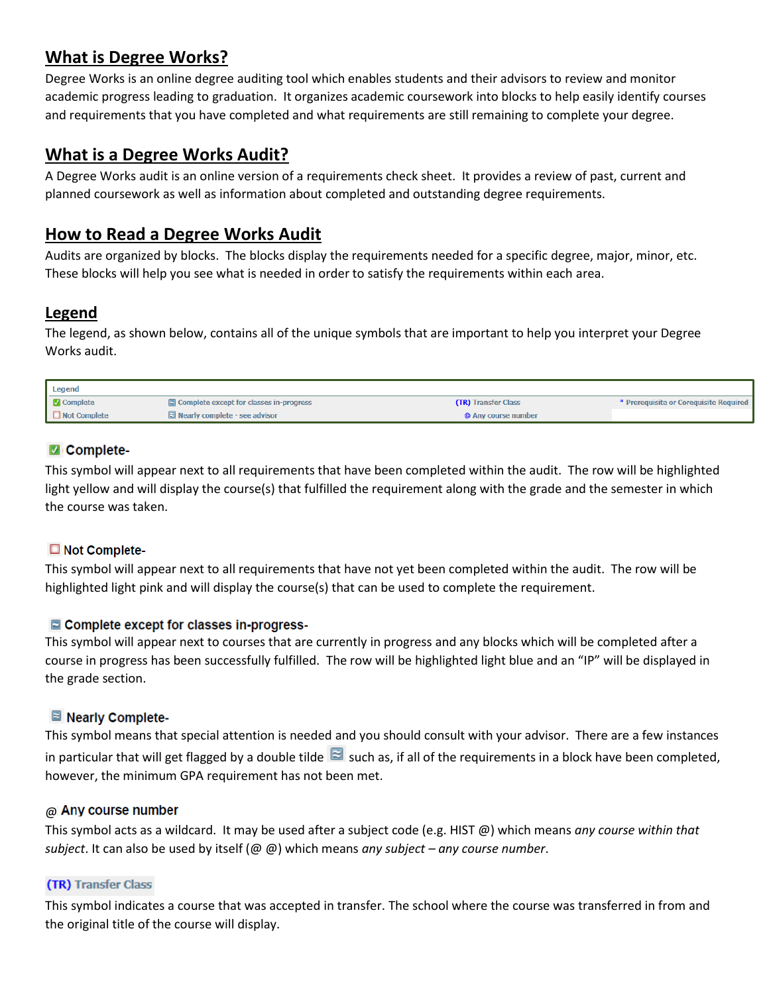# **What is Degree Works?**

Degree Works is an online degree auditing tool which enables students and their advisors to review and monitor academic progress leading to graduation. It organizes academic coursework into blocks to help easily identify courses and requirements that you have completed and what requirements are still remaining to complete your degree.

## **What is a Degree Works Audit?**

A Degree Works audit is an online version of a requirements check sheet. It provides a review of past, current and planned coursework as well as information about completed and outstanding degree requirements.

## **How to Read a Degree Works Audit**

Audits are organized by blocks. The blocks display the requirements needed for a specific degree, major, minor, etc. These blocks will help you see what is needed in order to satisfy the requirements within each area.

## **Legend**

The legend, as shown below, contains all of the unique symbols that are important to help you interpret your Degree Works audit.

| Legend              |                                                |                            |                                        |
|---------------------|------------------------------------------------|----------------------------|----------------------------------------|
| <b>Z</b> Complete   | $\Box$ Complete except for classes in-progress | <b>(TR)</b> Transfer Class | * Prerequisite or Corequisite Required |
| $\Box$ Not Complete | $\Xi$ Nearly complete - see advisor            | @ Any course number        |                                        |

## Complete-

This symbol will appear next to all requirements that have been completed within the audit. The row will be highlighted light yellow and will display the course(s) that fulfilled the requirement along with the grade and the semester in which the course was taken.

## Not Complete-

This symbol will appear next to all requirements that have not yet been completed within the audit. The row will be highlighted light pink and will display the course(s) that can be used to complete the requirement.

## Complete except for classes in-progress-

This symbol will appear next to courses that are currently in progress and any blocks which will be completed after a course in progress has been successfully fulfilled. The row will be highlighted light blue and an "IP" will be displayed in the grade section.

## ■ Nearly Complete-

This symbol means that special attention is needed and you should consult with your advisor. There are a few instances in particular that will get flagged by a double tilde  $\Box$  such as, if all of the requirements in a block have been completed, however, the minimum GPA requirement has not been met.

## @ Any course number

This symbol acts as a wildcard. It may be used after a subject code (e.g. HIST @) which means *any course within that subject*. It can also be used by itself (@ @) which means *any subject – any course number*.

## (TR) Transfer Class

This symbol indicates a course that was accepted in transfer. The school where the course was transferred in from and the original title of the course will display.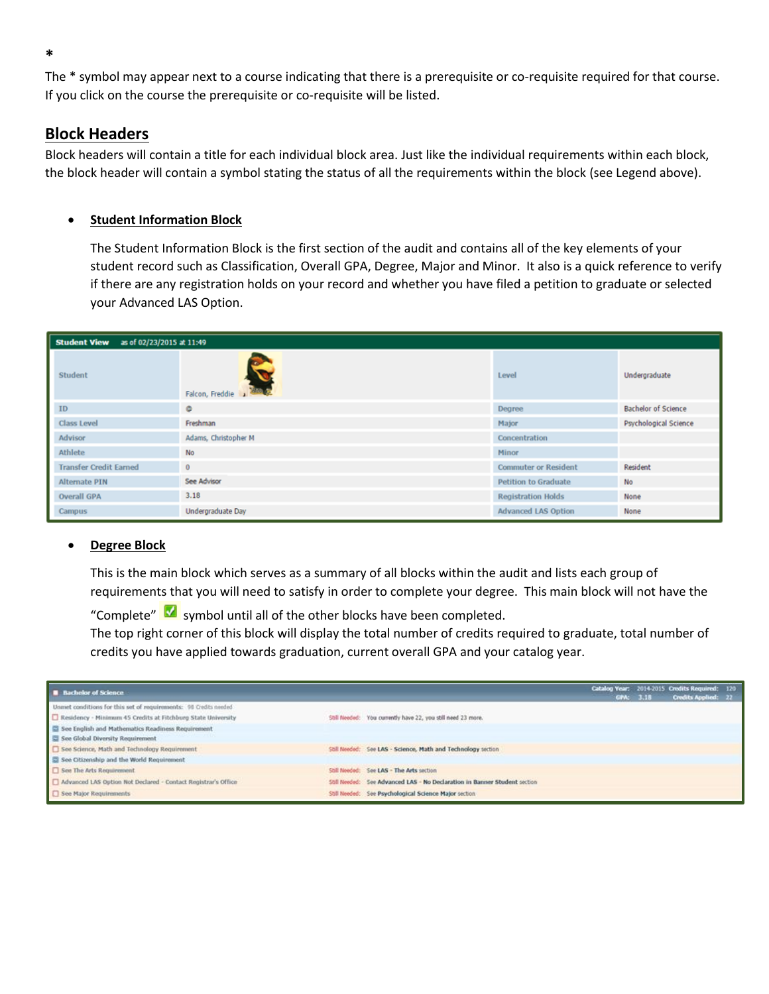The \* symbol may appear next to a course indicating that there is a prerequisite or co-requisite required for that course. If you click on the course the prerequisite or co-requisite will be listed.

## **Block Headers**

Block headers will contain a title for each individual block area. Just like the individual requirements within each block, the block header will contain a symbol stating the status of all the requirements within the block (see Legend above).

### **Student Information Block**

The Student Information Block is the first section of the audit and contains all of the key elements of your student record such as Classification, Overall GPA, Degree, Major and Minor. It also is a quick reference to verify if there are any registration holds on your record and whether you have filed a petition to graduate or selected your Advanced LAS Option.

| as of 02/23/2015 at 11:49<br><b>Student View</b> |                          |                             |                            |
|--------------------------------------------------|--------------------------|-----------------------------|----------------------------|
| Student                                          | Falcon, Freddie          | Level                       | Undergraduate              |
| ID                                               | ۰                        | Degree                      | <b>Bachelor of Science</b> |
| <b>Class Level</b>                               | Freshman                 | Major                       | Psychological Science      |
| Advisor                                          | Adams, Christopher M     | Concentration               |                            |
| Athlete                                          | <b>No</b>                | Minor                       |                            |
| <b>Transfer Credit Earned</b>                    | $\bf{0}$                 | <b>Commuter or Resident</b> | Resident                   |
| <b>Alternate PIN</b>                             | See Advisor              | <b>Petition to Graduate</b> | <b>No</b>                  |
| <b>Overall GPA</b>                               | 3.18                     | <b>Registration Holds</b>   | None                       |
| Campus                                           | <b>Undergraduate Day</b> | <b>Advanced LAS Option</b>  | None                       |

#### **Degree Block**

This is the main block which serves as a summary of all blocks within the audit and lists each group of requirements that you will need to satisfy in order to complete your degree. This main block will not have the

"Complete" **M** symbol until all of the other blocks have been completed.

The top right corner of this block will display the total number of credits required to graduate, total number of credits you have applied towards graduation, current overall GPA and your catalog year.

| <b>B</b> Bachelor of Science                                      |                                                                           | GPA: 3.18 | Catalog Year: 2014-2015 Credits Required: 120<br>Credits Applied: 22 |  |
|-------------------------------------------------------------------|---------------------------------------------------------------------------|-----------|----------------------------------------------------------------------|--|
| Unanet conditions for this set of requirements: 98 Credits needed |                                                                           |           |                                                                      |  |
| Residency - Minimum 45 Credits at Fitchburg State University      | Still Needed: You currently have 22, you still need 23 more.              |           |                                                                      |  |
| See English and Mathematics Readiness Requirement                 |                                                                           |           |                                                                      |  |
| See Global Diversity Requirement                                  |                                                                           |           |                                                                      |  |
| See Science, Math and Technology Requirement                      | Still Needed: See LAS - Science, Math and Technology section              |           |                                                                      |  |
| See Citizenship and the World Requirement                         |                                                                           |           |                                                                      |  |
| See The Arts Requirement                                          | Shil Needed: See LAS - The Arts section                                   |           |                                                                      |  |
| Advanced LAS Option Not Declared - Contact Registrar's Office     | Still Needed: See Advanced LAS - No Declaration in Banner Student section |           |                                                                      |  |
| See Major Requirements                                            | Still Needed: See Psychological Science Major section                     |           |                                                                      |  |

**\***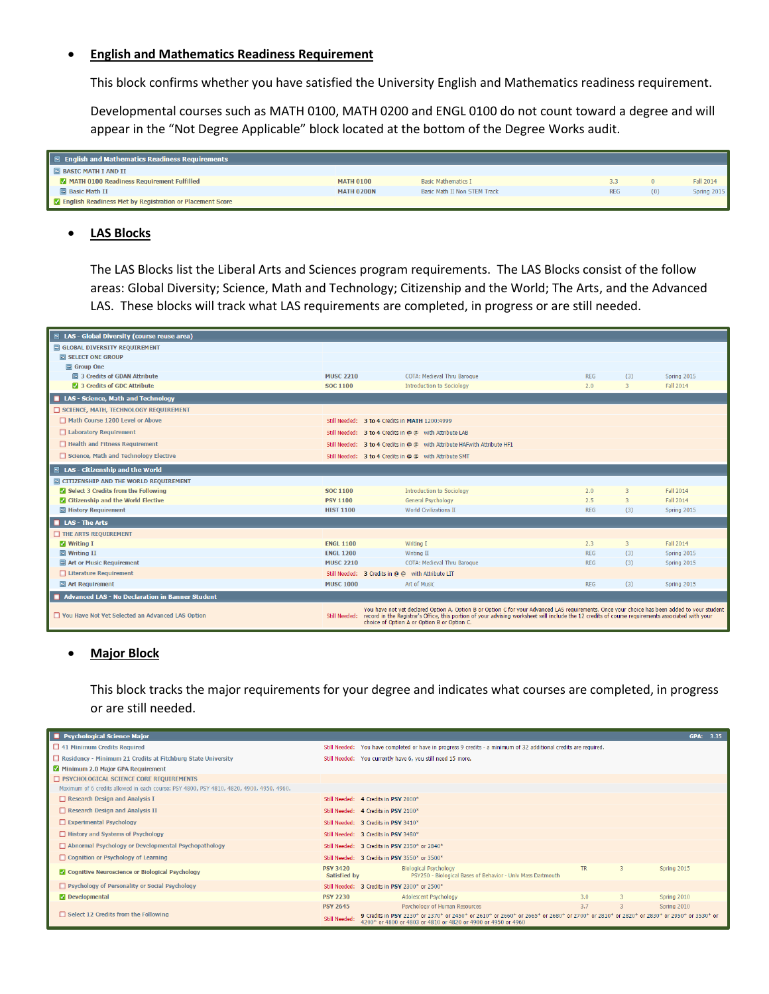#### **English and Mathematics Readiness Requirement**

This block confirms whether you have satisfied the University English and Mathematics readiness requirement.

Developmental courses such as MATH 0100, MATH 0200 and ENGL 0100 do not count toward a degree and will appear in the "Not Degree Applicable" block located at the bottom of the Degree Works audit.

| $\mathbb{E}$ English and Mathematics Readiness Requirements       |                   |                              |            |                    |
|-------------------------------------------------------------------|-------------------|------------------------------|------------|--------------------|
| $\Box$ BASIC MATH I AND II                                        |                   |                              |            |                    |
| MATH 0100 Readiness Requirement Fulfilled                         | <b>MATH 0100</b>  | <b>Basic Mathematics T</b>   | 3.3        | Fall 2014          |
| <b>E</b> Basic Math II                                            | <b>MATH 0200N</b> | Basic Math II Non STEM Track | <b>REG</b> | <b>Spring 2015</b> |
| <b>2</b> English Readiness Met by Registration or Placement Score |                   |                              |            |                    |

#### **LAS Blocks**

The LAS Blocks list the Liberal Arts and Sciences program requirements. The LAS Blocks consist of the follow areas: Global Diversity; Science, Math and Technology; Citizenship and the World; The Arts, and the Advanced LAS. These blocks will track what LAS requirements are completed, in progress or are still needed.

| $\Xi$ LAS - Global Diversity (course reuse area)   |                  |                                                                                                                                                                                                                                                                                                                                                  |            |                |                  |
|----------------------------------------------------|------------------|--------------------------------------------------------------------------------------------------------------------------------------------------------------------------------------------------------------------------------------------------------------------------------------------------------------------------------------------------|------------|----------------|------------------|
| <b>E GLOBAL DIVERSITY REQUIREMENT</b>              |                  |                                                                                                                                                                                                                                                                                                                                                  |            |                |                  |
| SELECT ONE GROUP                                   |                  |                                                                                                                                                                                                                                                                                                                                                  |            |                |                  |
| Group One                                          |                  |                                                                                                                                                                                                                                                                                                                                                  |            |                |                  |
| <b>□ 3 Credits of GDAN Attribute</b>               | <b>MUSC 2210</b> | COTA: Medieval Thru Barogue                                                                                                                                                                                                                                                                                                                      | <b>REG</b> | (3)            | Spring 2015      |
| 3 Credits of GDC Attribute                         | SOC 1100         | <b>Introduction to Sociology</b>                                                                                                                                                                                                                                                                                                                 | 2.0        | $\overline{3}$ | Fall 2014        |
| LAS - Science, Math and Technology                 |                  |                                                                                                                                                                                                                                                                                                                                                  |            |                |                  |
| SCIENCE, MATH, TECHNOLOGY REQUIREMENT              |                  |                                                                                                                                                                                                                                                                                                                                                  |            |                |                  |
| Math Course 1200 Level or Above                    |                  | Still Needed: 3 to 4 Credits in MATH 1200:4999                                                                                                                                                                                                                                                                                                   |            |                |                  |
| □ Laboratory Requirement                           |                  | Still Needed: 3 to 4 Credits in @ @ with Attribute LAB                                                                                                                                                                                                                                                                                           |            |                |                  |
| $\Box$ Health and Fitness Requirement              |                  | Still Needed: 3 to 4 Credits in @ @ with Attribute HAFwith Attribute HF1                                                                                                                                                                                                                                                                         |            |                |                  |
| □ Science, Math and Technology Elective            |                  | Still Needed: 3 to 4 Credits in @ @ with Attribute SMT                                                                                                                                                                                                                                                                                           |            |                |                  |
| $\Xi$ LAS - Citizenship and the World              |                  |                                                                                                                                                                                                                                                                                                                                                  |            |                |                  |
| CITIZENSHIP AND THE WORLD REQUIREMENT              |                  |                                                                                                                                                                                                                                                                                                                                                  |            |                |                  |
| Select 3 Credits from the Following                | <b>SOC 1100</b>  | <b>Introduction to Sociology</b>                                                                                                                                                                                                                                                                                                                 | 2.0        | 3              | <b>Fall 2014</b> |
| Citizenship and the World Elective                 | <b>PSY 1100</b>  | General Psychology                                                                                                                                                                                                                                                                                                                               | 2.5        | $\overline{3}$ | Fall 2014        |
| History Requirement                                | <b>HIST 1100</b> | <b>World Civilizations II</b>                                                                                                                                                                                                                                                                                                                    | <b>REG</b> | (3)            | Spring 2015      |
| LAS - The Arts                                     |                  |                                                                                                                                                                                                                                                                                                                                                  |            |                |                  |
| THE ARTS REQUIREMENT                               |                  |                                                                                                                                                                                                                                                                                                                                                  |            |                |                  |
| <b>V</b> Writing I                                 | <b>FNGI 1100</b> | Writing I                                                                                                                                                                                                                                                                                                                                        | 2.3        | $\overline{z}$ | Fall 2014        |
| $\Box$ Writing II                                  | <b>ENGL 1200</b> | Writing II                                                                                                                                                                                                                                                                                                                                       | <b>REG</b> | (3)            | Spring 2015      |
| <b>No. Art or Music Requirement</b>                | <b>MUSC 2210</b> | <b>COTA: Medieval Thru Baroque</b>                                                                                                                                                                                                                                                                                                               | <b>REG</b> | (3)            | Spring 2015      |
| □ Literature Requirement                           |                  | Still Needed: 3 Credits in @ @ with Attribute LIT                                                                                                                                                                                                                                                                                                |            |                |                  |
| <b>E</b> Art Requirement                           | <b>MUSC 1000</b> | Art of Music                                                                                                                                                                                                                                                                                                                                     | <b>REG</b> | (3)            | Spring 2015      |
| Advanced LAS - No Declaration in Banner Student    |                  |                                                                                                                                                                                                                                                                                                                                                  |            |                |                  |
| □ You Have Not Yet Selected an Advanced LAS Option | Still Needed:    | You have not yet declared Option A, Option B or Option C for your Advanced LAS requirements. Once your choice has been added to your student<br>record in the Registrar's Office, this portion of your advising worksheet will include the 12 credits of course requirements associated with your<br>choice of Option A or Option B or Option C. |            |                |                  |

#### **Major Block**

This block tracks the major requirements for your degree and indicates what courses are completed, in progress or are still needed.

| <b>E</b> Psychological Science Major                                                     |                                 |                                                                                                                                                                                                        |           |                | <b>GPA: 3.35</b> |
|------------------------------------------------------------------------------------------|---------------------------------|--------------------------------------------------------------------------------------------------------------------------------------------------------------------------------------------------------|-----------|----------------|------------------|
| 41 Minimum Credits Required                                                              |                                 | Still Needed: You have completed or have in progress 9 credits - a minimum of 32 additional credits are required.                                                                                      |           |                |                  |
| Residency - Minimum 21 Credits at Fitchburg State University                             |                                 | Still Needed: You currently have 6, you still need 15 more.                                                                                                                                            |           |                |                  |
| Minimum 2.0 Major GPA Requirement                                                        |                                 |                                                                                                                                                                                                        |           |                |                  |
| <b>PSYCHOLOGICAL SCIENCE CORE REQUIREMENTS</b>                                           |                                 |                                                                                                                                                                                                        |           |                |                  |
| Maximum of 6 credits allowed in each course: PSY 4800, PSY 4810, 4820, 4900, 4950, 4960. |                                 |                                                                                                                                                                                                        |           |                |                  |
| Research Design and Analysis I                                                           |                                 | Still Needed: 4 Credits in PSY 2000*                                                                                                                                                                   |           |                |                  |
| Research Design and Analysis II                                                          |                                 | Still Needed: 4 Credits in PSY 2100*                                                                                                                                                                   |           |                |                  |
| $\Box$ Experimental Psychology                                                           |                                 | Still Needed: 3 Credits in PSY 3410*                                                                                                                                                                   |           |                |                  |
| $\Box$ History and Systems of Psychology                                                 |                                 | Still Needed: 3 Credits in PSY 3480*                                                                                                                                                                   |           |                |                  |
| Abnormal Psychology or Developmental Psychopathology                                     |                                 | Still Needed: 3 Credits in PSY 2350* or 2840*                                                                                                                                                          |           |                |                  |
| $\Box$ Cognition or Psychology of Learning                                               |                                 | Still Needed: 3 Credits in PSY 3550* or 3500*                                                                                                                                                          |           |                |                  |
| <b>M</b> Cognitive Neuroscience or Biological Psychology                                 | <b>PSY 3420</b><br>Satisfied by | <b>Biological Psychology</b><br>PSY250 - Biological Bases of Behavior - Univ Mass Dartmouth                                                                                                            | <b>TR</b> | 3              | Spring 2015      |
| □ Psychology of Personality or Social Psychology                                         |                                 | Still Needed: 3 Credits in PSY 2300* or 2500*                                                                                                                                                          |           |                |                  |
| O Developmental                                                                          | <b>PSY 2230</b>                 | Adolescent Psychology                                                                                                                                                                                  | 3.0       | 3.             | Spring 2010      |
|                                                                                          | <b>PSY 2645</b>                 | Psychology of Human Resources                                                                                                                                                                          | 3.7       | $\overline{3}$ | Spring 2010      |
| $\Box$ Select 12 Credits from the Following                                              | <b>Still Needed:</b>            | 9 Credits in PSY 2230* or 2370* or 2450* or 2610* or 2660* or 2665* or 2680* or 2700* or 2810* or 2820* or 2830* or 2950* or 3530* or<br>4200* or 4800 or 4803 or 4810 or 4820 or 4900 or 4950 or 4960 |           |                |                  |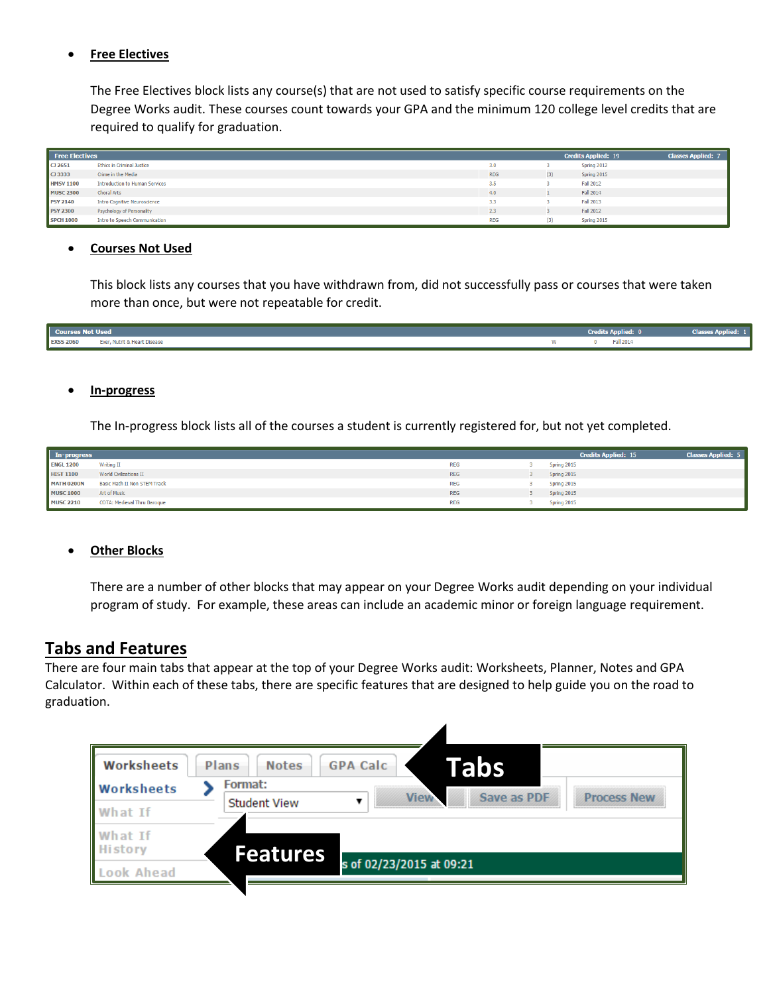### **Free Electives**

The Free Electives block lists any course(s) that are not used to satisfy specific course requirements on the Degree Works audit. These courses count towards your GPA and the minimum 120 college level credits that are required to qualify for graduation.

| <b>Free Electives</b> |                                       |            |     | <b>Credits Applied: 19</b> | <b>Classes Applied: 7</b> |
|-----------------------|---------------------------------------|------------|-----|----------------------------|---------------------------|
| $\Box$ 2651           | <b>Ethics in Criminal Justice</b>     | 3.0        |     | Spring 2012                |                           |
| $\overline{C}$ 3333   | Crime in the Media                    | <b>REG</b> | (3) | Spring 2015                |                           |
| <b>HMSV1100</b>       | <b>Introduction to Human Services</b> | 3.5        |     | <b>Fall 2012</b>           |                           |
| <b>MUSC 2300</b>      | <b>Choral Arts</b>                    | 4.0        |     | Fall 2014                  |                           |
| <b>PSY 2140</b>       | <b>Intro Cognitive Neuroscience</b>   | 3.3        |     | <b>Fall 2013</b>           |                           |
| <b>PSY 2300</b>       | Psychology of Personality             | 2.3        |     | Fall 2012                  |                           |
| <b>SPCH 1000</b>      | <b>Intro to Speech Communication</b>  | <b>REG</b> | (3) | Spring 2015                |                           |

#### **Courses Not Used**

This block lists any courses that you have withdrawn from, did not successfully pass or courses that were taken more than once, but were not repeatable for credit.

| <b>Courses Not Used</b> |                              |   | <b>Credits Applied:</b> | <b>Classes Applied: 2</b> |
|-------------------------|------------------------------|---|-------------------------|---------------------------|
| <b>EXSS 2060</b>        | Exer, Nutrit & Heart Disease | w | Fall 2014               |                           |

#### **In-progress**

The In-progress block lists all of the courses a student is currently registered for, but not yet completed.

| In-progress       |                                     |            | <b>Credits Applied: 15</b> | <b>Classes Applied: 5</b> |
|-------------------|-------------------------------------|------------|----------------------------|---------------------------|
| <b>ENGL 1200</b>  | <b>Writing II</b>                   | <b>REG</b> | Spring 2015                |                           |
| <b>HIST 1100</b>  | <b>World Civilizations II</b>       | <b>REG</b> | Spring 2015                |                           |
| <b>MATH 0200N</b> | <b>Basic Math II Non STEM Track</b> | <b>REG</b> | Spring 2015                |                           |
| <b>MUSC 1000</b>  | Art of Music                        | <b>REG</b> | Spring 2015                |                           |
| <b>MUSC 2210</b>  | <b>COTA: Medieval Thru Baroque</b>  | <b>REG</b> | Spring 2015                |                           |

#### **Other Blocks**

There are a number of other blocks that may appear on your Degree Works audit depending on your individual program of study. For example, these areas can include an academic minor or foreign language requirement.

## **Tabs and Features**

There are four main tabs that appear at the top of your Degree Works audit: Worksheets, Planner, Notes and GPA Calculator. Within each of these tabs, there are specific features that are designed to help guide you on the road to graduation.

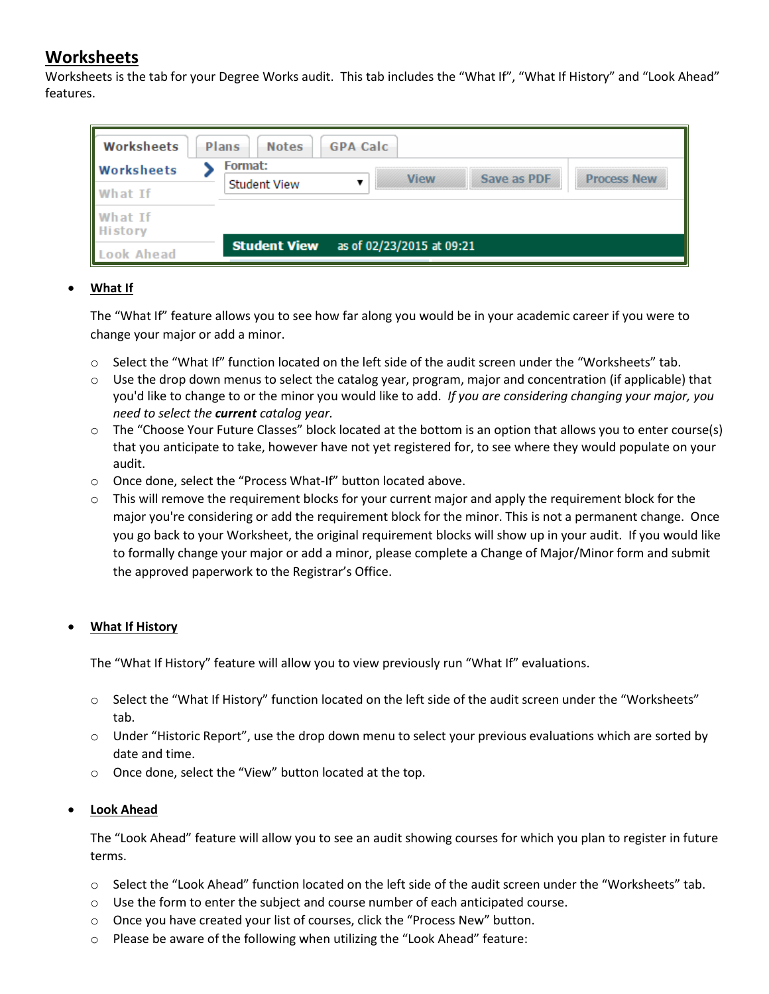# **Worksheets**

Worksheets is the tab for your Degree Works audit. This tab includes the "What If", "What If History" and "Look Ahead" features.

| Worksheets                | Plans<br><b>GPA Calc</b><br><b>Notes</b>                    |
|---------------------------|-------------------------------------------------------------|
| <b>Worksheets</b>         | Format:<br>Save as PDF<br><b>Process New</b><br><b>View</b> |
| What If                   | <b>Student View</b>                                         |
| What If<br><b>History</b> |                                                             |
| Look Ahead                | <b>Student View</b> as of 02/23/2015 at 09:21               |

## **What If**

The "What If" feature allows you to see how far along you would be in your academic career if you were to change your major or add a minor.

- o Select the "What If" function located on the left side of the audit screen under the "Worksheets" tab.
- o Use the drop down menus to select the catalog year, program, major and concentration (if applicable) that you'd like to change to or the minor you would like to add. *If you are considering changing your major, you need to select the current catalog year.*
- o The "Choose Your Future Classes" block located at the bottom is an option that allows you to enter course(s) that you anticipate to take, however have not yet registered for, to see where they would populate on your audit.
- o Once done, select the "Process What-If" button located above.
- $\circ$  This will remove the requirement blocks for your current major and apply the requirement block for the major you're considering or add the requirement block for the minor. This is not a permanent change. Once you go back to your Worksheet, the original requirement blocks will show up in your audit. If you would like to formally change your major or add a minor, please complete a Change of Major/Minor form and submit the approved paperwork to the Registrar's Office.

## **What If History**

The "What If History" feature will allow you to view previously run "What If" evaluations.

- o Select the "What If History" function located on the left side of the audit screen under the "Worksheets" tab.
- o Under "Historic Report", use the drop down menu to select your previous evaluations which are sorted by date and time.
- o Once done, select the "View" button located at the top.

## **Look Ahead**

The "Look Ahead" feature will allow you to see an audit showing courses for which you plan to register in future terms.

- o Select the "Look Ahead" function located on the left side of the audit screen under the "Worksheets" tab.
- o Use the form to enter the subject and course number of each anticipated course.
- o Once you have created your list of courses, click the "Process New" button.
- o Please be aware of the following when utilizing the "Look Ahead" feature: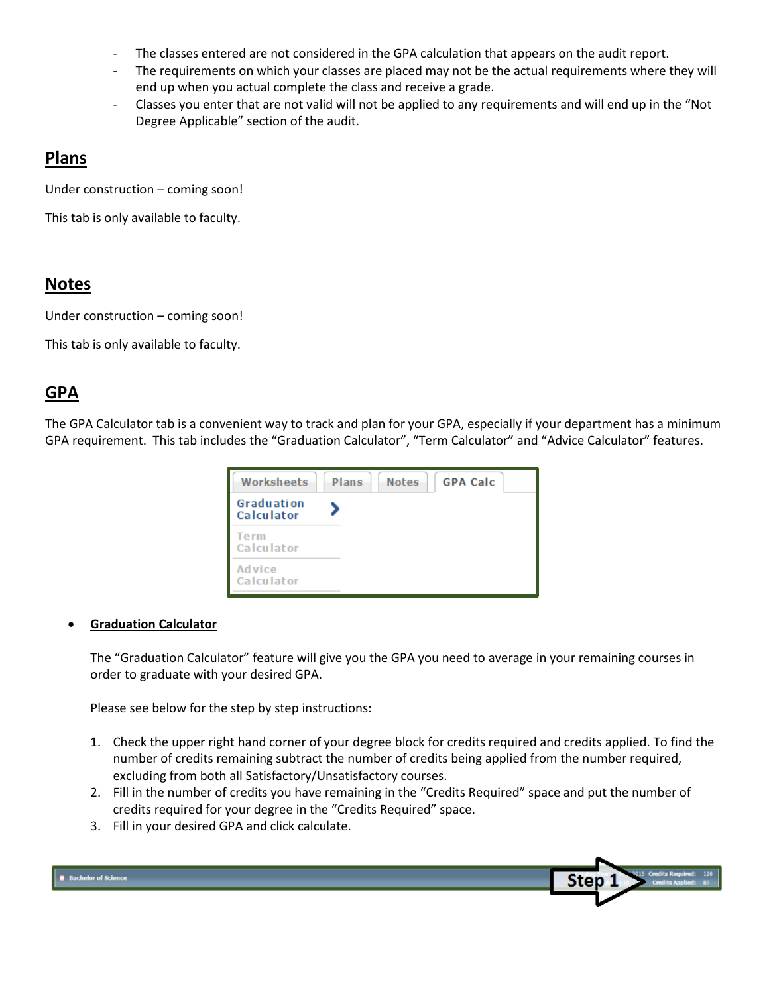- The classes entered are not considered in the GPA calculation that appears on the audit report.
- The requirements on which your classes are placed may not be the actual requirements where they will end up when you actual complete the class and receive a grade.
- Classes you enter that are not valid will not be applied to any requirements and will end up in the "Not Degree Applicable" section of the audit.

## **Plans**

Under construction – coming soon!

This tab is only available to faculty.

## **Notes**

Under construction – coming soon!

This tab is only available to faculty.

# **GPA**

The GPA Calculator tab is a convenient way to track and plan for your GPA, especially if your department has a minimum GPA requirement. This tab includes the "Graduation Calculator", "Term Calculator" and "Advice Calculator" features.



## **Graduation Calculator**

The "Graduation Calculator" feature will give you the GPA you need to average in your remaining courses in order to graduate with your desired GPA.

Please see below for the step by step instructions:

- 1. Check the upper right hand corner of your degree block for credits required and credits applied. To find the number of credits remaining subtract the number of credits being applied from the number required, excluding from both all Satisfactory/Unsatisfactory courses.
- 2. Fill in the number of credits you have remaining in the "Credits Required" space and put the number of credits required for your degree in the "Credits Required" space.
- 3. Fill in your desired GPA and click calculate.

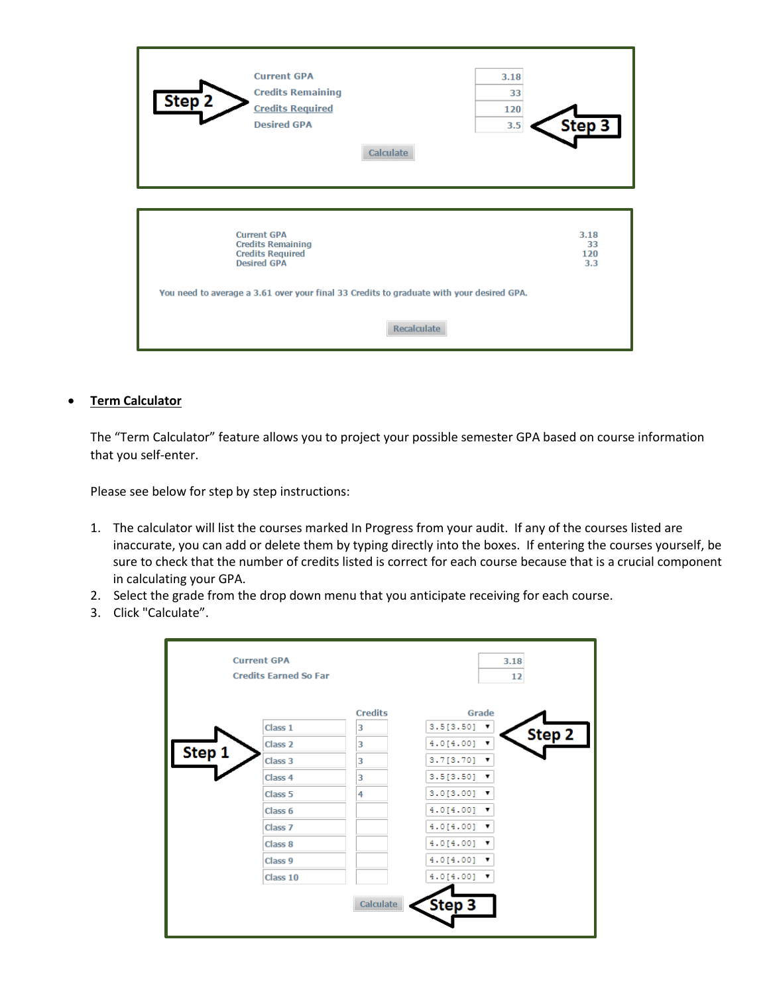| Step <sub>2</sub>                                                                                                                                                                                                                             | <b>Current GPA</b><br><b>Credits Remaining</b><br><b>Credits Required</b><br><b>Desired GPA</b> | Calculate | 3.18<br>33<br>120<br>3.5 | Step 3 |  |
|-----------------------------------------------------------------------------------------------------------------------------------------------------------------------------------------------------------------------------------------------|-------------------------------------------------------------------------------------------------|-----------|--------------------------|--------|--|
| <b>Current GPA</b><br>3.18<br><b>Credits Remaining</b><br>33<br><b>Credits Required</b><br>120<br><b>Desired GPA</b><br>3.3<br>You need to average a 3.61 over your final 33 Credits to graduate with your desired GPA.<br><b>Recalculate</b> |                                                                                                 |           |                          |        |  |

### **Term Calculator**

The "Term Calculator" feature allows you to project your possible semester GPA based on course information that you self-enter.

Please see below for step by step instructions:

- 1. The calculator will list the courses marked In Progress from your audit. If any of the courses listed are inaccurate, you can add or delete them by typing directly into the boxes. If entering the courses yourself, be sure to check that the number of credits listed is correct for each course because that is a crucial component in calculating your GPA.
- 2. Select the grade from the drop down menu that you anticipate receiving for each course.
- 3. Click "Calculate".

|        | <b>Current GPA</b><br><b>Credits Farned So Far</b> |                | 3.18<br>12               |  |
|--------|----------------------------------------------------|----------------|--------------------------|--|
|        |                                                    | <b>Credits</b> | Grade                    |  |
|        | Class 1                                            | 3              | 3.5[3.50]<br>▼<br>Step 2 |  |
|        | Class <sub>2</sub>                                 | 3              | 4.0[4.00]<br>▼           |  |
| Step 1 | Class <sub>3</sub>                                 | 3              | 3.7[3.70]<br>▼           |  |
|        | Class 4                                            | 3              | 3.5[3.50]<br>▼           |  |
|        | Class <sub>5</sub>                                 | 4              | 3.0[3.00]<br>v           |  |
|        | Class <sub>6</sub>                                 |                | 4.0[4.00]<br>▼           |  |
|        | Class <sub>7</sub>                                 |                | 4.0[4.00]<br>▼           |  |
|        | Class <sub>8</sub>                                 |                | 4.0[4.00]<br>v           |  |
|        | Class <sub>9</sub>                                 |                | 4.0[4.00]                |  |
|        | Class 10                                           |                | 4.0[4.00]                |  |
|        |                                                    | Calculate      | Step 3                   |  |